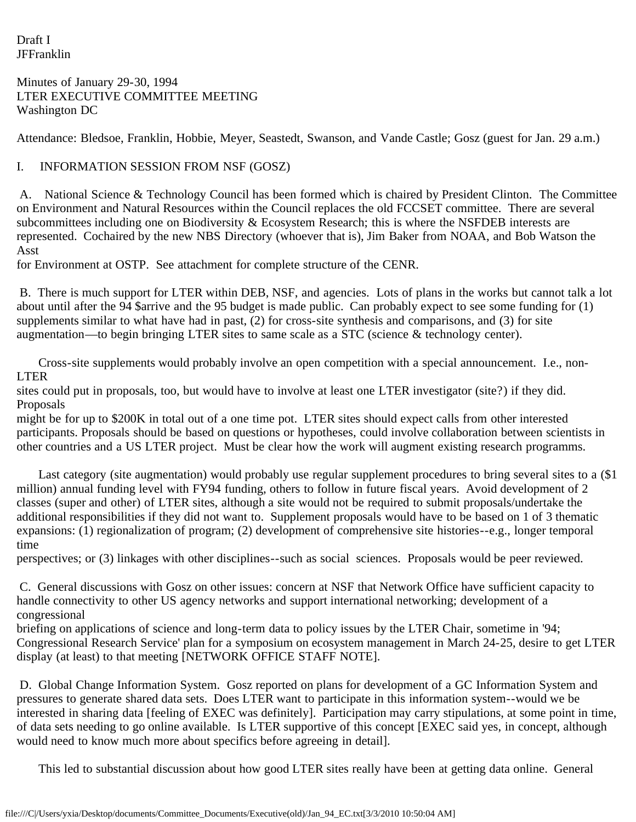Draft I JFFranklin

Minutes of January 29-30, 1994 LTER EXECUTIVE COMMITTEE MEETING Washington DC

Attendance: Bledsoe, Franklin, Hobbie, Meyer, Seastedt, Swanson, and Vande Castle; Gosz (guest for Jan. 29 a.m.)

## I. INFORMATION SESSION FROM NSF (GOSZ)

 A. National Science & Technology Council has been formed which is chaired by President Clinton. The Committee on Environment and Natural Resources within the Council replaces the old FCCSET committee. There are several subcommittees including one on Biodiversity & Ecosystem Research; this is where the NSFDEB interests are represented. Cochaired by the new NBS Directory (whoever that is), Jim Baker from NOAA, and Bob Watson the Asst

for Environment at OSTP. See attachment for complete structure of the CENR.

 B. There is much support for LTER within DEB, NSF, and agencies. Lots of plans in the works but cannot talk a lot about until after the 94 \$arrive and the 95 budget is made public. Can probably expect to see some funding for (1) supplements similar to what have had in past, (2) for cross-site synthesis and comparisons, and (3) for site augmentation—to begin bringing LTER sites to same scale as a STC (science & technology center).

 Cross-site supplements would probably involve an open competition with a special announcement. I.e., non-LTER

sites could put in proposals, too, but would have to involve at least one LTER investigator (site?) if they did. Proposals

might be for up to \$200K in total out of a one time pot. LTER sites should expect calls from other interested participants. Proposals should be based on questions or hypotheses, could involve collaboration between scientists in other countries and a US LTER project. Must be clear how the work will augment existing research programms.

 Last category (site augmentation) would probably use regular supplement procedures to bring several sites to a (\$1 million) annual funding level with FY94 funding, others to follow in future fiscal years. Avoid development of 2 classes (super and other) of LTER sites, although a site would not be required to submit proposals/undertake the additional responsibilities if they did not want to. Supplement proposals would have to be based on 1 of 3 thematic expansions: (1) regionalization of program; (2) development of comprehensive site histories--e.g., longer temporal time

perspectives; or (3) linkages with other disciplines--such as social sciences. Proposals would be peer reviewed.

 C. General discussions with Gosz on other issues: concern at NSF that Network Office have sufficient capacity to handle connectivity to other US agency networks and support international networking; development of a congressional

briefing on applications of science and long-term data to policy issues by the LTER Chair, sometime in '94; Congressional Research Service' plan for a symposium on ecosystem management in March 24-25, desire to get LTER display (at least) to that meeting [NETWORK OFFICE STAFF NOTE].

 D. Global Change Information System. Gosz reported on plans for development of a GC Information System and pressures to generate shared data sets. Does LTER want to participate in this information system--would we be interested in sharing data [feeling of EXEC was definitely]. Participation may carry stipulations, at some point in time, of data sets needing to go online available. Is LTER supportive of this concept [EXEC said yes, in concept, although would need to know much more about specifics before agreeing in detail].

This led to substantial discussion about how good LTER sites really have been at getting data online. General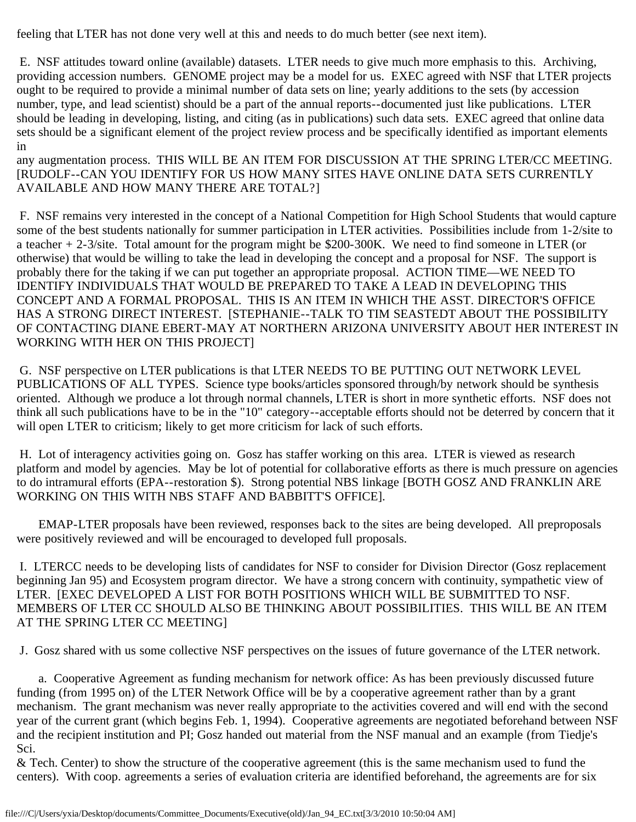feeling that LTER has not done very well at this and needs to do much better (see next item).

 E. NSF attitudes toward online (available) datasets. LTER needs to give much more emphasis to this. Archiving, providing accession numbers. GENOME project may be a model for us. EXEC agreed with NSF that LTER projects ought to be required to provide a minimal number of data sets on line; yearly additions to the sets (by accession number, type, and lead scientist) should be a part of the annual reports--documented just like publications. LTER should be leading in developing, listing, and citing (as in publications) such data sets. EXEC agreed that online data sets should be a significant element of the project review process and be specifically identified as important elements in

any augmentation process. THIS WILL BE AN ITEM FOR DISCUSSION AT THE SPRING LTER/CC MEETING. [RUDOLF--CAN YOU IDENTIFY FOR US HOW MANY SITES HAVE ONLINE DATA SETS CURRENTLY AVAILABLE AND HOW MANY THERE ARE TOTAL?]

 F. NSF remains very interested in the concept of a National Competition for High School Students that would capture some of the best students nationally for summer participation in LTER activities. Possibilities include from 1-2/site to a teacher + 2-3/site. Total amount for the program might be \$200-300K. We need to find someone in LTER (or otherwise) that would be willing to take the lead in developing the concept and a proposal for NSF. The support is probably there for the taking if we can put together an appropriate proposal. ACTION TIME—WE NEED TO IDENTIFY INDIVIDUALS THAT WOULD BE PREPARED TO TAKE A LEAD IN DEVELOPING THIS CONCEPT AND A FORMAL PROPOSAL. THIS IS AN ITEM IN WHICH THE ASST. DIRECTOR'S OFFICE HAS A STRONG DIRECT INTEREST. [STEPHANIE--TALK TO TIM SEASTEDT ABOUT THE POSSIBILITY OF CONTACTING DIANE EBERT-MAY AT NORTHERN ARIZONA UNIVERSITY ABOUT HER INTEREST IN WORKING WITH HER ON THIS PROJECT]

 G. NSF perspective on LTER publications is that LTER NEEDS TO BE PUTTING OUT NETWORK LEVEL PUBLICATIONS OF ALL TYPES. Science type books/articles sponsored through/by network should be synthesis oriented. Although we produce a lot through normal channels, LTER is short in more synthetic efforts. NSF does not think all such publications have to be in the "10" category--acceptable efforts should not be deterred by concern that it will open LTER to criticism; likely to get more criticism for lack of such efforts.

 H. Lot of interagency activities going on. Gosz has staffer working on this area. LTER is viewed as research platform and model by agencies. May be lot of potential for collaborative efforts as there is much pressure on agencies to do intramural efforts (EPA--restoration \$). Strong potential NBS linkage [BOTH GOSZ AND FRANKLIN ARE WORKING ON THIS WITH NBS STAFF AND BABBITT'S OFFICE].

 EMAP-LTER proposals have been reviewed, responses back to the sites are being developed. All preproposals were positively reviewed and will be encouraged to developed full proposals.

 I. LTERCC needs to be developing lists of candidates for NSF to consider for Division Director (Gosz replacement beginning Jan 95) and Ecosystem program director. We have a strong concern with continuity, sympathetic view of LTER. [EXEC DEVELOPED A LIST FOR BOTH POSITIONS WHICH WILL BE SUBMITTED TO NSF. MEMBERS OF LTER CC SHOULD ALSO BE THINKING ABOUT POSSIBILITIES. THIS WILL BE AN ITEM AT THE SPRING LTER CC MEETING]

J. Gosz shared with us some collective NSF perspectives on the issues of future governance of the LTER network.

 a. Cooperative Agreement as funding mechanism for network office: As has been previously discussed future funding (from 1995 on) of the LTER Network Office will be by a cooperative agreement rather than by a grant mechanism. The grant mechanism was never really appropriate to the activities covered and will end with the second year of the current grant (which begins Feb. 1, 1994). Cooperative agreements are negotiated beforehand between NSF and the recipient institution and PI; Gosz handed out material from the NSF manual and an example (from Tiedje's Sci.

& Tech. Center) to show the structure of the cooperative agreement (this is the same mechanism used to fund the centers). With coop. agreements a series of evaluation criteria are identified beforehand, the agreements are for six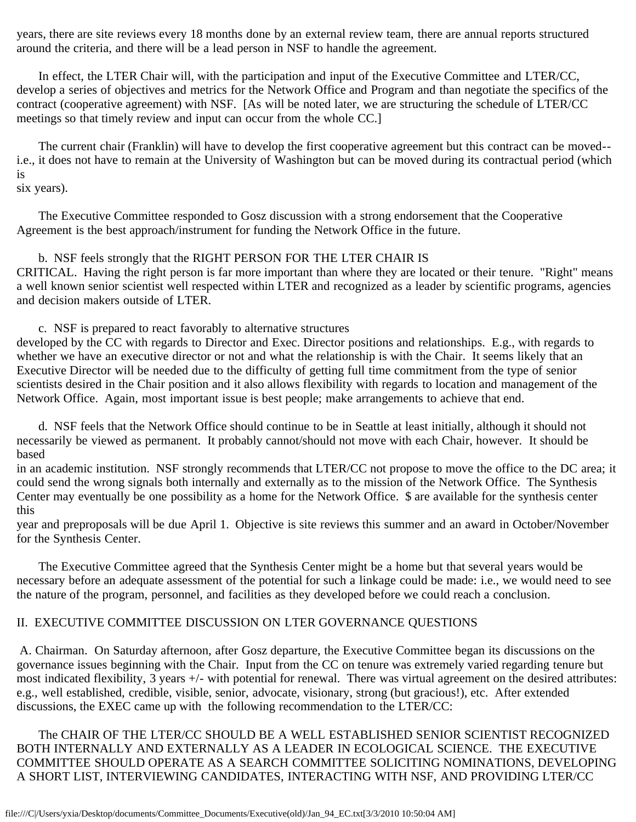years, there are site reviews every 18 months done by an external review team, there are annual reports structured around the criteria, and there will be a lead person in NSF to handle the agreement.

 In effect, the LTER Chair will, with the participation and input of the Executive Committee and LTER/CC, develop a series of objectives and metrics for the Network Office and Program and than negotiate the specifics of the contract (cooperative agreement) with NSF. [As will be noted later, we are structuring the schedule of LTER/CC meetings so that timely review and input can occur from the whole CC.]

 The current chair (Franklin) will have to develop the first cooperative agreement but this contract can be moved- i.e., it does not have to remain at the University of Washington but can be moved during its contractual period (which is

## six years).

 The Executive Committee responded to Gosz discussion with a strong endorsement that the Cooperative Agreement is the best approach/instrument for funding the Network Office in the future.

 b. NSF feels strongly that the RIGHT PERSON FOR THE LTER CHAIR IS CRITICAL. Having the right person is far more important than where they are located or their tenure. "Right" means a well known senior scientist well respected within LTER and recognized as a leader by scientific programs, agencies and decision makers outside of LTER.

c. NSF is prepared to react favorably to alternative structures

developed by the CC with regards to Director and Exec. Director positions and relationships. E.g., with regards to whether we have an executive director or not and what the relationship is with the Chair. It seems likely that an Executive Director will be needed due to the difficulty of getting full time commitment from the type of senior scientists desired in the Chair position and it also allows flexibility with regards to location and management of the Network Office. Again, most important issue is best people; make arrangements to achieve that end.

 d. NSF feels that the Network Office should continue to be in Seattle at least initially, although it should not necessarily be viewed as permanent. It probably cannot/should not move with each Chair, however. It should be based

in an academic institution. NSF strongly recommends that LTER/CC not propose to move the office to the DC area; it could send the wrong signals both internally and externally as to the mission of the Network Office. The Synthesis Center may eventually be one possibility as a home for the Network Office. \$ are available for the synthesis center this

year and preproposals will be due April 1. Objective is site reviews this summer and an award in October/November for the Synthesis Center.

 The Executive Committee agreed that the Synthesis Center might be a home but that several years would be necessary before an adequate assessment of the potential for such a linkage could be made: i.e., we would need to see the nature of the program, personnel, and facilities as they developed before we could reach a conclusion.

## II. EXECUTIVE COMMITTEE DISCUSSION ON LTER GOVERNANCE QUESTIONS

 A. Chairman. On Saturday afternoon, after Gosz departure, the Executive Committee began its discussions on the governance issues beginning with the Chair. Input from the CC on tenure was extremely varied regarding tenure but most indicated flexibility, 3 years +/- with potential for renewal. There was virtual agreement on the desired attributes: e.g., well established, credible, visible, senior, advocate, visionary, strong (but gracious!), etc. After extended discussions, the EXEC came up with the following recommendation to the LTER/CC:

 The CHAIR OF THE LTER/CC SHOULD BE A WELL ESTABLISHED SENIOR SCIENTIST RECOGNIZED BOTH INTERNALLY AND EXTERNALLY AS A LEADER IN ECOLOGICAL SCIENCE. THE EXECUTIVE COMMITTEE SHOULD OPERATE AS A SEARCH COMMITTEE SOLICITING NOMINATIONS, DEVELOPING A SHORT LIST, INTERVIEWING CANDIDATES, INTERACTING WITH NSF, AND PROVIDING LTER/CC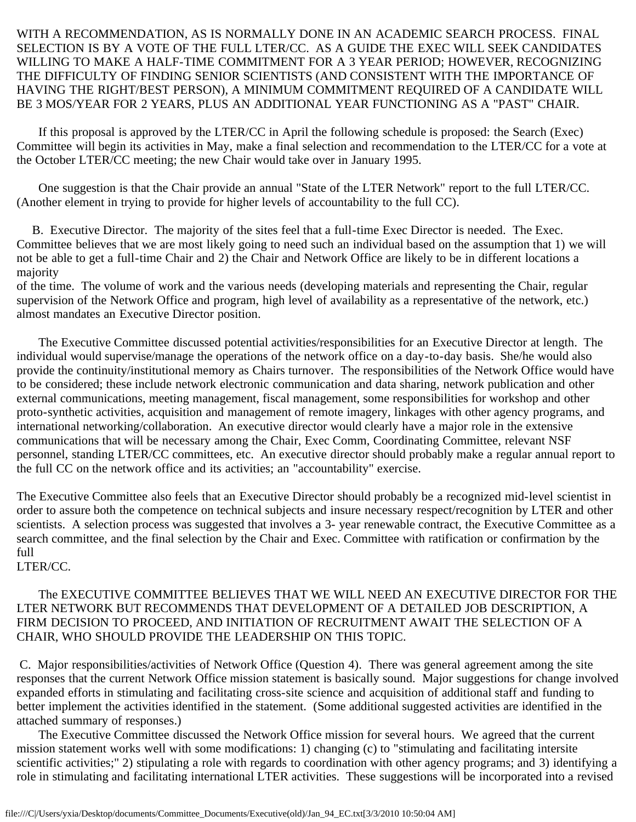## WITH A RECOMMENDATION, AS IS NORMALLY DONE IN AN ACADEMIC SEARCH PROCESS. FINAL SELECTION IS BY A VOTE OF THE FULL LTER/CC. AS A GUIDE THE EXEC WILL SEEK CANDIDATES WILLING TO MAKE A HALF-TIME COMMITMENT FOR A 3 YEAR PERIOD; HOWEVER, RECOGNIZING THE DIFFICULTY OF FINDING SENIOR SCIENTISTS (AND CONSISTENT WITH THE IMPORTANCE OF HAVING THE RIGHT/BEST PERSON), A MINIMUM COMMITMENT REQUIRED OF A CANDIDATE WILL BE 3 MOS/YEAR FOR 2 YEARS, PLUS AN ADDITIONAL YEAR FUNCTIONING AS A "PAST" CHAIR.

 If this proposal is approved by the LTER/CC in April the following schedule is proposed: the Search (Exec) Committee will begin its activities in May, make a final selection and recommendation to the LTER/CC for a vote at the October LTER/CC meeting; the new Chair would take over in January 1995.

 One suggestion is that the Chair provide an annual "State of the LTER Network" report to the full LTER/CC. (Another element in trying to provide for higher levels of accountability to the full CC).

 B. Executive Director. The majority of the sites feel that a full-time Exec Director is needed. The Exec. Committee believes that we are most likely going to need such an individual based on the assumption that 1) we will not be able to get a full-time Chair and 2) the Chair and Network Office are likely to be in different locations a majority

of the time. The volume of work and the various needs (developing materials and representing the Chair, regular supervision of the Network Office and program, high level of availability as a representative of the network, etc.) almost mandates an Executive Director position.

 The Executive Committee discussed potential activities/responsibilities for an Executive Director at length. The individual would supervise/manage the operations of the network office on a day-to-day basis. She/he would also provide the continuity/institutional memory as Chairs turnover. The responsibilities of the Network Office would have to be considered; these include network electronic communication and data sharing, network publication and other external communications, meeting management, fiscal management, some responsibilities for workshop and other proto-synthetic activities, acquisition and management of remote imagery, linkages with other agency programs, and international networking/collaboration. An executive director would clearly have a major role in the extensive communications that will be necessary among the Chair, Exec Comm, Coordinating Committee, relevant NSF personnel, standing LTER/CC committees, etc. An executive director should probably make a regular annual report to the full CC on the network office and its activities; an "accountability" exercise.

The Executive Committee also feels that an Executive Director should probably be a recognized mid-level scientist in order to assure both the competence on technical subjects and insure necessary respect/recognition by LTER and other scientists. A selection process was suggested that involves a 3- year renewable contract, the Executive Committee as a search committee, and the final selection by the Chair and Exec. Committee with ratification or confirmation by the full

LTER/CC.

 The EXECUTIVE COMMITTEE BELIEVES THAT WE WILL NEED AN EXECUTIVE DIRECTOR FOR THE LTER NETWORK BUT RECOMMENDS THAT DEVELOPMENT OF A DETAILED JOB DESCRIPTION, A FIRM DECISION TO PROCEED, AND INITIATION OF RECRUITMENT AWAIT THE SELECTION OF A CHAIR, WHO SHOULD PROVIDE THE LEADERSHIP ON THIS TOPIC.

 C. Major responsibilities/activities of Network Office (Question 4). There was general agreement among the site responses that the current Network Office mission statement is basically sound. Major suggestions for change involved expanded efforts in stimulating and facilitating cross-site science and acquisition of additional staff and funding to better implement the activities identified in the statement. (Some additional suggested activities are identified in the attached summary of responses.)

 The Executive Committee discussed the Network Office mission for several hours. We agreed that the current mission statement works well with some modifications: 1) changing (c) to "stimulating and facilitating intersite scientific activities;" 2) stipulating a role with regards to coordination with other agency programs; and 3) identifying a role in stimulating and facilitating international LTER activities. These suggestions will be incorporated into a revised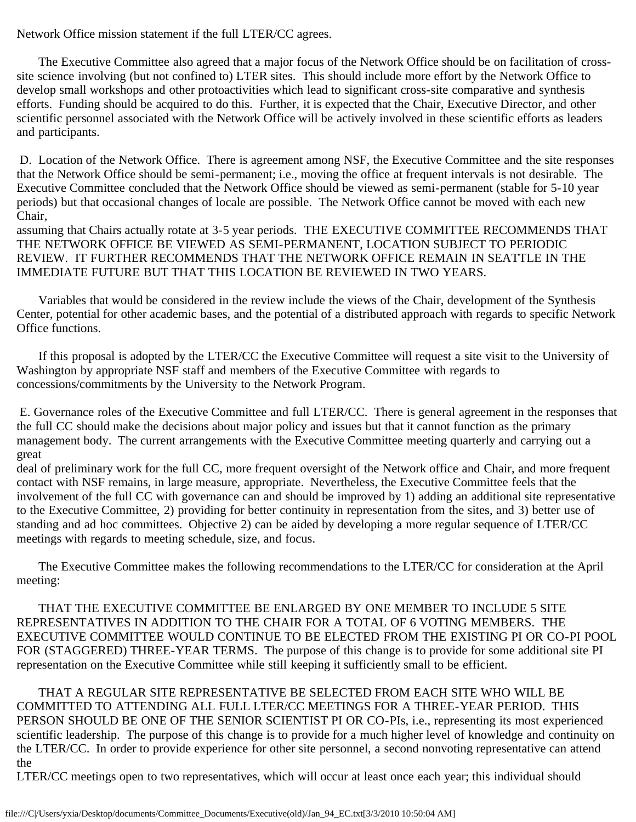Network Office mission statement if the full LTER/CC agrees.

 The Executive Committee also agreed that a major focus of the Network Office should be on facilitation of crosssite science involving (but not confined to) LTER sites. This should include more effort by the Network Office to develop small workshops and other protoactivities which lead to significant cross-site comparative and synthesis efforts. Funding should be acquired to do this. Further, it is expected that the Chair, Executive Director, and other scientific personnel associated with the Network Office will be actively involved in these scientific efforts as leaders and participants.

 D. Location of the Network Office. There is agreement among NSF, the Executive Committee and the site responses that the Network Office should be semi-permanent; i.e., moving the office at frequent intervals is not desirable. The Executive Committee concluded that the Network Office should be viewed as semi-permanent (stable for 5-10 year periods) but that occasional changes of locale are possible. The Network Office cannot be moved with each new Chair,

assuming that Chairs actually rotate at 3-5 year periods. THE EXECUTIVE COMMITTEE RECOMMENDS THAT THE NETWORK OFFICE BE VIEWED AS SEMI-PERMANENT, LOCATION SUBJECT TO PERIODIC REVIEW. IT FURTHER RECOMMENDS THAT THE NETWORK OFFICE REMAIN IN SEATTLE IN THE IMMEDIATE FUTURE BUT THAT THIS LOCATION BE REVIEWED IN TWO YEARS.

 Variables that would be considered in the review include the views of the Chair, development of the Synthesis Center, potential for other academic bases, and the potential of a distributed approach with regards to specific Network Office functions.

 If this proposal is adopted by the LTER/CC the Executive Committee will request a site visit to the University of Washington by appropriate NSF staff and members of the Executive Committee with regards to concessions/commitments by the University to the Network Program.

 E. Governance roles of the Executive Committee and full LTER/CC. There is general agreement in the responses that the full CC should make the decisions about major policy and issues but that it cannot function as the primary management body. The current arrangements with the Executive Committee meeting quarterly and carrying out a great

deal of preliminary work for the full CC, more frequent oversight of the Network office and Chair, and more frequent contact with NSF remains, in large measure, appropriate. Nevertheless, the Executive Committee feels that the involvement of the full CC with governance can and should be improved by 1) adding an additional site representative to the Executive Committee, 2) providing for better continuity in representation from the sites, and 3) better use of standing and ad hoc committees. Objective 2) can be aided by developing a more regular sequence of LTER/CC meetings with regards to meeting schedule, size, and focus.

 The Executive Committee makes the following recommendations to the LTER/CC for consideration at the April meeting:

 THAT THE EXECUTIVE COMMITTEE BE ENLARGED BY ONE MEMBER TO INCLUDE 5 SITE REPRESENTATIVES IN ADDITION TO THE CHAIR FOR A TOTAL OF 6 VOTING MEMBERS. THE EXECUTIVE COMMITTEE WOULD CONTINUE TO BE ELECTED FROM THE EXISTING PI OR CO-PI POOL FOR (STAGGERED) THREE-YEAR TERMS. The purpose of this change is to provide for some additional site PI representation on the Executive Committee while still keeping it sufficiently small to be efficient.

 THAT A REGULAR SITE REPRESENTATIVE BE SELECTED FROM EACH SITE WHO WILL BE COMMITTED TO ATTENDING ALL FULL LTER/CC MEETINGS FOR A THREE-YEAR PERIOD. THIS PERSON SHOULD BE ONE OF THE SENIOR SCIENTIST PI OR CO-PIs, i.e., representing its most experienced scientific leadership. The purpose of this change is to provide for a much higher level of knowledge and continuity on the LTER/CC. In order to provide experience for other site personnel, a second nonvoting representative can attend the

LTER/CC meetings open to two representatives, which will occur at least once each year; this individual should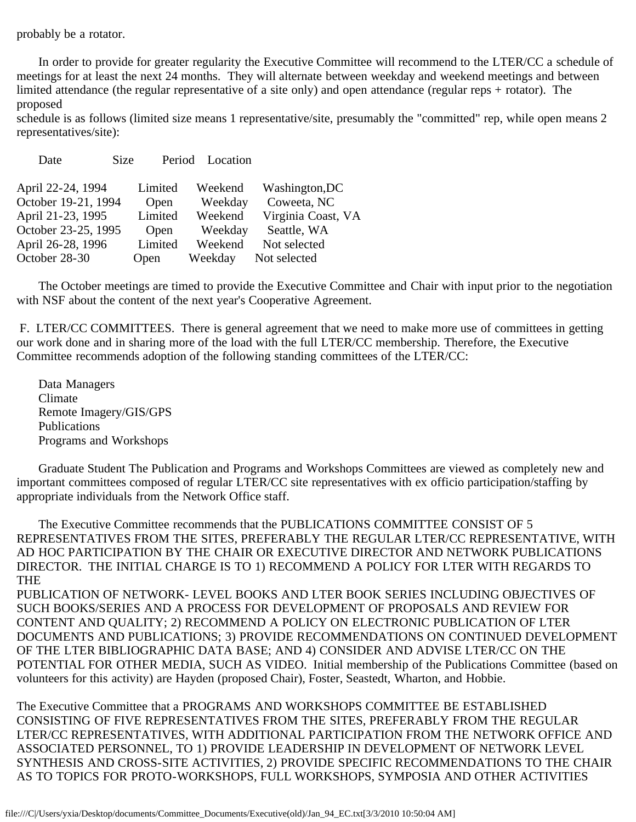probably be a rotator.

 In order to provide for greater regularity the Executive Committee will recommend to the LTER/CC a schedule of meetings for at least the next 24 months. They will alternate between weekday and weekend meetings and between limited attendance (the regular representative of a site only) and open attendance (regular reps + rotator). The proposed

schedule is as follows (limited size means 1 representative/site, presumably the "committed" rep, while open means 2 representatives/site):

| April 22-24, 1994   | Limited | Weekend | Washington, DC     |
|---------------------|---------|---------|--------------------|
| October 19-21, 1994 | Open    | Weekday | Coweeta, NC        |
| April 21-23, 1995   | Limited | Weekend | Virginia Coast, VA |
| October 23-25, 1995 | Open    | Weekday | Seattle, WA        |
| April 26-28, 1996   | Limited | Weekend | Not selected       |
| October 28-30       | Open    | Weekday | Not selected       |
|                     |         |         |                    |

Date Size Period Location

 The October meetings are timed to provide the Executive Committee and Chair with input prior to the negotiation with NSF about the content of the next year's Cooperative Agreement.

 F. LTER/CC COMMITTEES. There is general agreement that we need to make more use of committees in getting our work done and in sharing more of the load with the full LTER/CC membership. Therefore, the Executive Committee recommends adoption of the following standing committees of the LTER/CC:

 Data Managers Climate Remote Imagery/GIS/GPS Publications Programs and Workshops

 Graduate Student The Publication and Programs and Workshops Committees are viewed as completely new and important committees composed of regular LTER/CC site representatives with ex officio participation/staffing by appropriate individuals from the Network Office staff.

 The Executive Committee recommends that the PUBLICATIONS COMMITTEE CONSIST OF 5 REPRESENTATIVES FROM THE SITES, PREFERABLY THE REGULAR LTER/CC REPRESENTATIVE, WITH AD HOC PARTICIPATION BY THE CHAIR OR EXECUTIVE DIRECTOR AND NETWORK PUBLICATIONS DIRECTOR. THE INITIAL CHARGE IS TO 1) RECOMMEND A POLICY FOR LTER WITH REGARDS TO **THE** 

PUBLICATION OF NETWORK- LEVEL BOOKS AND LTER BOOK SERIES INCLUDING OBJECTIVES OF SUCH BOOKS/SERIES AND A PROCESS FOR DEVELOPMENT OF PROPOSALS AND REVIEW FOR CONTENT AND QUALITY; 2) RECOMMEND A POLICY ON ELECTRONIC PUBLICATION OF LTER DOCUMENTS AND PUBLICATIONS; 3) PROVIDE RECOMMENDATIONS ON CONTINUED DEVELOPMENT OF THE LTER BIBLIOGRAPHIC DATA BASE; AND 4) CONSIDER AND ADVISE LTER/CC ON THE POTENTIAL FOR OTHER MEDIA, SUCH AS VIDEO. Initial membership of the Publications Committee (based on volunteers for this activity) are Hayden (proposed Chair), Foster, Seastedt, Wharton, and Hobbie.

The Executive Committee that a PROGRAMS AND WORKSHOPS COMMITTEE BE ESTABLISHED CONSISTING OF FIVE REPRESENTATIVES FROM THE SITES, PREFERABLY FROM THE REGULAR LTER/CC REPRESENTATIVES, WITH ADDITIONAL PARTICIPATION FROM THE NETWORK OFFICE AND ASSOCIATED PERSONNEL, TO 1) PROVIDE LEADERSHIP IN DEVELOPMENT OF NETWORK LEVEL SYNTHESIS AND CROSS-SITE ACTIVITIES, 2) PROVIDE SPECIFIC RECOMMENDATIONS TO THE CHAIR AS TO TOPICS FOR PROTO-WORKSHOPS, FULL WORKSHOPS, SYMPOSIA AND OTHER ACTIVITIES